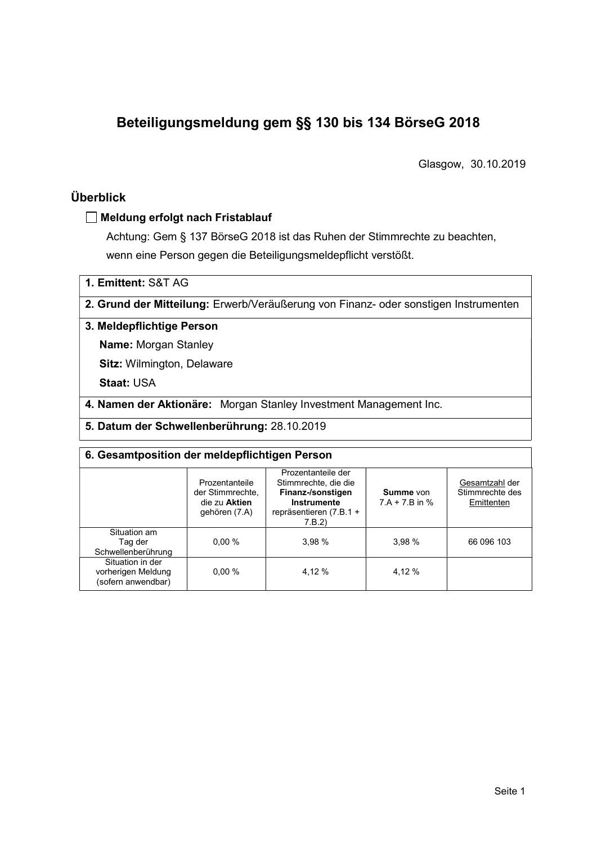# Beteiligungsmeldung gem §§ 130 bis 134 BörseG 2018

Glasgow, 30.10.2019

## Überblick

#### Meldung erfolgt nach Fristablauf

Achtung: Gem § 137 BörseG 2018 ist das Ruhen der Stimmrechte zu beachten, wenn eine Person gegen die Beteiligungsmeldepflicht verstößt.

1. Emittent: S&T AG

2. Grund der Mitteilung: Erwerb/Veräußerung von Finanz- oder sonstigen Instrumenten

### 3. Meldepflichtige Person

Name: Morgan Stanley

Sitz: Wilmington, Delaware

Staat: USA

4. Namen der Aktionäre: Morgan Stanley Investment Management Inc.

5. Datum der Schwellenberührung: 28.10.2019

| 6. Gesamtposition der meldepflichtigen Person                |                                                                      |                                                                                                                      |                                      |                                                 |  |  |  |  |
|--------------------------------------------------------------|----------------------------------------------------------------------|----------------------------------------------------------------------------------------------------------------------|--------------------------------------|-------------------------------------------------|--|--|--|--|
|                                                              | Prozentanteile<br>der Stimmrechte.<br>die zu Aktien<br>gehören (7.A) | Prozentanteile der<br>Stimmrechte, die die<br>Finanz-/sonstigen<br>Instrumente<br>repräsentieren $(7.B.1 +$<br>7.B.2 | <b>Summe von</b><br>$7.A + 7.B$ in % | Gesamtzahl der<br>Stimmrechte des<br>Emittenten |  |  |  |  |
| Situation am<br>Tag der<br>Schwellenberührung                | $0.00 \%$                                                            | 3.98%                                                                                                                | 3.98%                                | 66 096 103                                      |  |  |  |  |
| Situation in der<br>vorherigen Meldung<br>(sofern anwendbar) | 0.00%                                                                | 4.12 %                                                                                                               | 4.12 %                               |                                                 |  |  |  |  |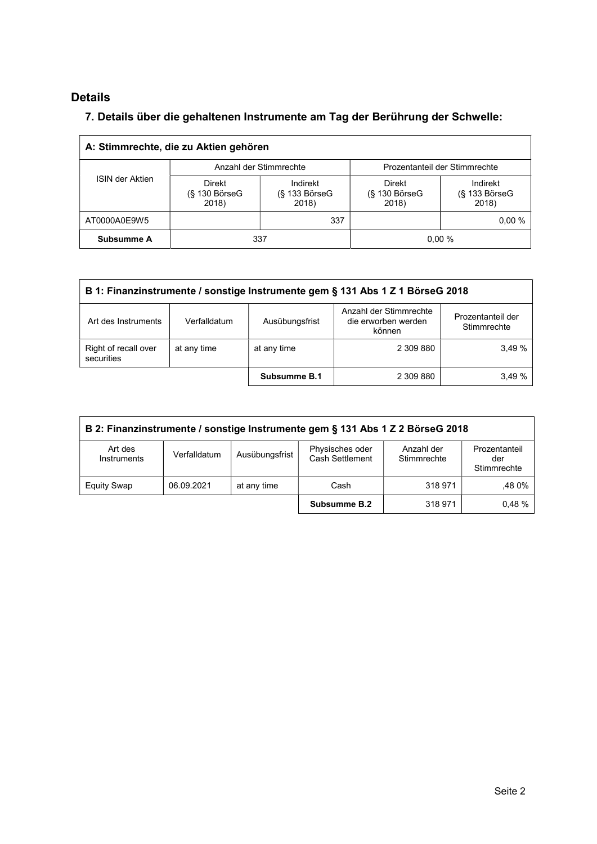# Details

## 7. Details über die gehaltenen Instrumente am Tag der Berührung der Schwelle:

| A: Stimmrechte, die zu Aktien gehören |                                           |                                    |                                  |                                    |  |  |  |  |
|---------------------------------------|-------------------------------------------|------------------------------------|----------------------------------|------------------------------------|--|--|--|--|
| <b>ISIN der Aktien</b>                | Anzahl der Stimmrechte                    |                                    | Prozentanteil der Stimmrechte    |                                    |  |  |  |  |
|                                       | <b>Direkt</b><br>$(S$ 130 BörseG<br>2018) | Indirekt<br>(§ 133 BörseG<br>2018) | Direkt<br>(§ 130 BörseG<br>2018) | Indirekt<br>(§ 133 BörseG<br>2018) |  |  |  |  |
| AT0000A0E9W5                          |                                           | 337                                |                                  | 0.00%                              |  |  |  |  |
| Subsumme A                            | 0.00%<br>337                              |                                    |                                  |                                    |  |  |  |  |

| B 1: Finanzinstrumente / sonstige Instrumente gem § 131 Abs 1 Z 1 BörseG 2018 |              |                |                                                         |                                  |  |  |
|-------------------------------------------------------------------------------|--------------|----------------|---------------------------------------------------------|----------------------------------|--|--|
| Art des Instruments                                                           | Verfalldatum | Ausübungsfrist | Anzahl der Stimmrechte<br>die erworben werden<br>können | Prozentanteil der<br>Stimmrechte |  |  |
| Right of recall over<br>securities                                            | at any time  | at any time    | 2 309 880                                               | 3.49%                            |  |  |
|                                                                               |              | Subsumme B.1   | 2 309 880                                               | 3.49%                            |  |  |

| B 2: Finanzinstrumente / sonstige Instrumente gem § 131 Abs 1 Z 2 BörseG 2018 |              |                |                                    |                           |                                     |  |
|-------------------------------------------------------------------------------|--------------|----------------|------------------------------------|---------------------------|-------------------------------------|--|
| Art des<br>Instruments                                                        | Verfalldatum | Ausübungsfrist | Physisches oder<br>Cash Settlement | Anzahl der<br>Stimmrechte | Prozentanteil<br>der<br>Stimmrechte |  |
| <b>Equity Swap</b>                                                            | 06.09.2021   | at any time    | Cash                               | 318 971                   | .48 0%                              |  |
|                                                                               |              |                | Subsumme B.2                       | 318 971                   | 0.48%                               |  |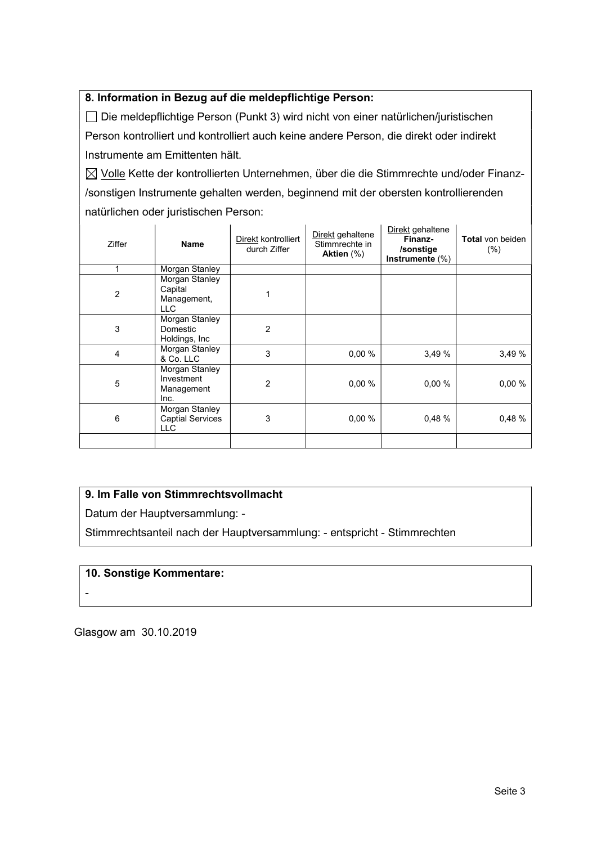## 8. Information in Bezug auf die meldepflichtige Person:

 Die meldepflichtige Person (Punkt 3) wird nicht von einer natürlichen/juristischen Person kontrolliert und kontrolliert auch keine andere Person, die direkt oder indirekt Instrumente am Emittenten hält.

 $\boxtimes$  Volle Kette der kontrollierten Unternehmen, über die die Stimmrechte und/oder Finanz-/sonstigen Instrumente gehalten werden, beginnend mit der obersten kontrollierenden natürlichen oder juristischen Person:

| <b>Ziffer</b>  | <b>Name</b>                                             | Direkt kontrolliert<br>durch Ziffer | Direkt gehaltene<br>Stimmrechte in<br>Aktien $(\%)$ | Direkt gehaltene<br>Finanz-<br>/sonstige<br>Instrumente (%) | <b>Total</b> von beiden<br>(% ) |
|----------------|---------------------------------------------------------|-------------------------------------|-----------------------------------------------------|-------------------------------------------------------------|---------------------------------|
|                | <b>Morgan Stanley</b>                                   |                                     |                                                     |                                                             |                                 |
| $\overline{2}$ | Morgan Stanley<br>Capital<br>Management,<br>LLC.        |                                     |                                                     |                                                             |                                 |
| 3              | Morgan Stanley<br>Domestic<br>Holdings, Inc             | 2                                   |                                                     |                                                             |                                 |
| $\overline{4}$ | Morgan Stanley<br>& Co. LLC                             | 3                                   | 0.00%                                               | 3,49%                                                       | 3.49 %                          |
| 5              | Morgan Stanley<br>Investment<br>Management<br>Inc.      | $\overline{2}$                      | 0,00 %                                              | 0.00%                                                       | 0,00%                           |
| 6              | Morgan Stanley<br><b>Captial Services</b><br><b>LLC</b> | 3                                   | 0.00%                                               | 0.48%                                                       | 0.48 %                          |
|                |                                                         |                                     |                                                     |                                                             |                                 |

#### 9. Im Falle von Stimmrechtsvollmacht

Datum der Hauptversammlung: -

Stimmrechtsanteil nach der Hauptversammlung: - entspricht - Stimmrechten

#### 10. Sonstige Kommentare:

-

Glasgow am 30.10.2019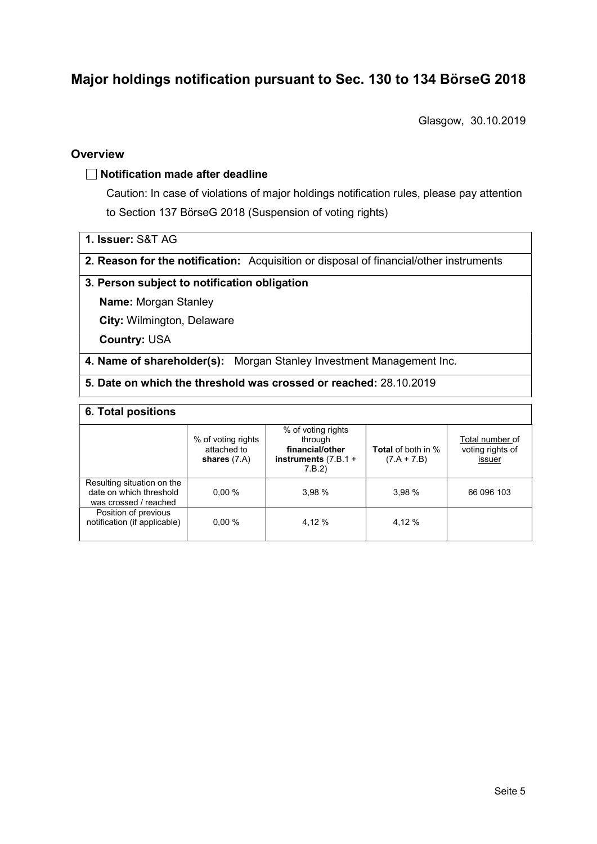# Major holdings notification pursuant to Sec. 130 to 134 BörseG 2018

Glasgow, 30.10.2019

### **Overview**

#### $\Box$  Notification made after deadline

Caution: In case of violations of major holdings notification rules, please pay attention to Section 137 BörseG 2018 (Suspension of voting rights)

- 1. Issuer: S&T AG
- 2. Reason for the notification: Acquisition or disposal of financial/other instruments

#### 3. Person subject to notification obligation

Name: Morgan Stanley

City: Wilmington, Delaware

Country: USA

4. Name of shareholder(s): Morgan Stanley Investment Management Inc.

5. Date on which the threshold was crossed or reached: 28.10.2019

#### 6. Total positions

|                                                                                | % of voting rights<br>attached to<br>shares $(7.A)$ | % of voting rights<br>through<br>financial/other<br>instruments $(7.B.1 +$<br>7.B.2 | <b>Total</b> of both in %<br>$(7.A + 7.B)$ | Total number of<br>voting rights of<br>issuer |
|--------------------------------------------------------------------------------|-----------------------------------------------------|-------------------------------------------------------------------------------------|--------------------------------------------|-----------------------------------------------|
| Resulting situation on the<br>date on which threshold<br>was crossed / reached | 0.00%                                               | 3.98%                                                                               | 3.98%                                      | 66 096 103                                    |
| Position of previous<br>notification (if applicable)                           | 0.00%                                               | 4.12 %                                                                              | 4.12 %                                     |                                               |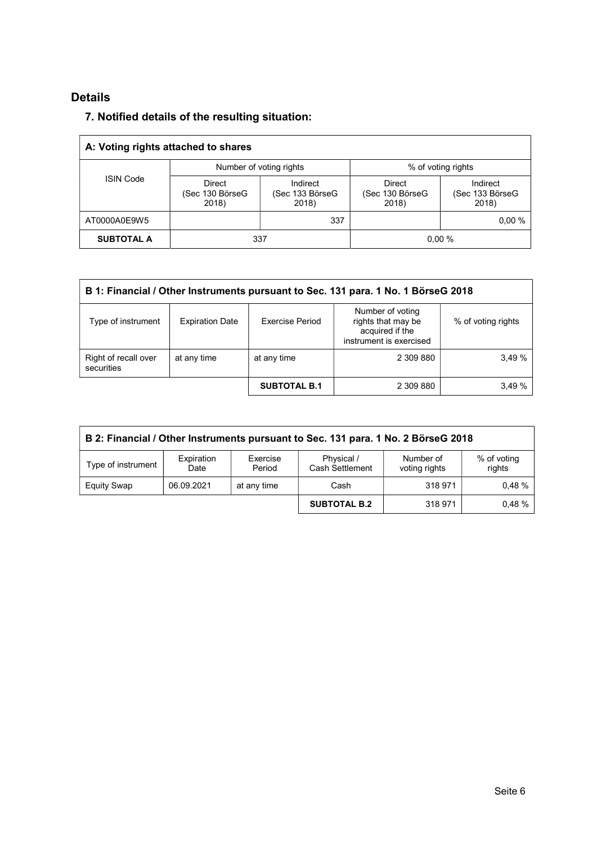# Details

## 7. Notified details of the resulting situation:

| A: Voting rights attached to shares |                                           |                                      |                                    |                                      |  |  |  |
|-------------------------------------|-------------------------------------------|--------------------------------------|------------------------------------|--------------------------------------|--|--|--|
| <b>ISIN Code</b>                    |                                           | Number of voting rights              |                                    | % of voting rights                   |  |  |  |
|                                     | <b>Direct</b><br>(Sec 130 BörseG<br>2018) | Indirect<br>(Sec 133 BörseG<br>2018) | Direct<br>(Sec 130 BörseG<br>2018) | Indirect<br>(Sec 133 BörseG<br>2018) |  |  |  |
| AT0000A0E9W5                        |                                           | 337                                  |                                    | 0.00%                                |  |  |  |
| <b>SUBTOTAL A</b>                   |                                           | 337                                  |                                    | 0.00%                                |  |  |  |

| B 1: Financial / Other Instruments pursuant to Sec. 131 para. 1 No. 1 BörseG 2018 |                        |                     |                                                                                      |                    |  |  |
|-----------------------------------------------------------------------------------|------------------------|---------------------|--------------------------------------------------------------------------------------|--------------------|--|--|
| Type of instrument                                                                | <b>Expiration Date</b> | Exercise Period     | Number of voting<br>rights that may be<br>acquired if the<br>instrument is exercised | % of voting rights |  |  |
| Right of recall over<br>securities                                                | at any time            | at any time         | 2 309 880                                                                            | 3.49%              |  |  |
|                                                                                   |                        | <b>SUBTOTAL B.1</b> | 2 309 880                                                                            | 3.49%              |  |  |

| B 2: Financial / Other Instruments pursuant to Sec. 131 para. 1 No. 2 BörseG 2018 |                    |                    |                                      |                            |                       |  |  |
|-----------------------------------------------------------------------------------|--------------------|--------------------|--------------------------------------|----------------------------|-----------------------|--|--|
| Type of instrument                                                                | Expiration<br>Date | Exercise<br>Period | Physical /<br><b>Cash Settlement</b> | Number of<br>voting rights | % of voting<br>rights |  |  |
| Equity Swap                                                                       | 06.09.2021         | at any time        | Cash                                 | 318 971                    | 0.48%                 |  |  |
|                                                                                   |                    |                    | <b>SUBTOTAL B.2</b>                  | 318 971                    | 0.48%                 |  |  |